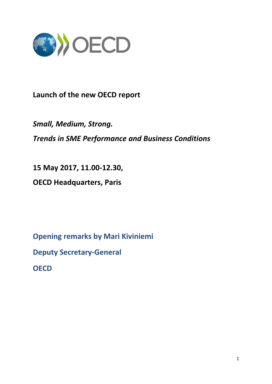

## **Launch of the new OECD report**

*Small, Medium, Strong. Trends in SME Performance and Business Conditions*

**15 May 2017, 11.00-12.30,** 

**OECD Headquarters, Paris**

**Opening remarks by Mari Kiviniemi Deputy Secretary-General**

**OECD**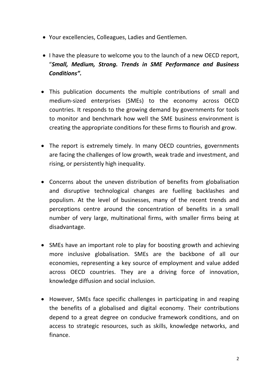- Your excellencies, Colleagues, Ladies and Gentlemen.
- I have the pleasure to welcome you to the launch of a new OECD report, "*Small, Medium, Strong. Trends in SME Performance and Business Conditions".*
- This publication documents the multiple contributions of small and medium-sized enterprises (SMEs) to the economy across OECD countries. It responds to the growing demand by governments for tools to monitor and benchmark how well the SME business environment is creating the appropriate conditions for these firms to flourish and grow.
- The report is extremely timely. In many OECD countries, governments are facing the challenges of low growth, weak trade and investment, and rising, or persistently high inequality.
- Concerns about the uneven distribution of benefits from globalisation and disruptive technological changes are fuelling backlashes and populism. At the level of businesses, many of the recent trends and perceptions centre around the concentration of benefits in a small number of very large, multinational firms, with smaller firms being at disadvantage.
- SMEs have an important role to play for boosting growth and achieving more inclusive globalisation. SMEs are the backbone of all our economies, representing a key source of employment and value added across OECD countries. They are a driving force of innovation, knowledge diffusion and social inclusion.
- However, SMEs face specific challenges in participating in and reaping the benefits of a globalised and digital economy. Their contributions depend to a great degree on conducive framework conditions, and on access to strategic resources, such as skills, knowledge networks, and finance.